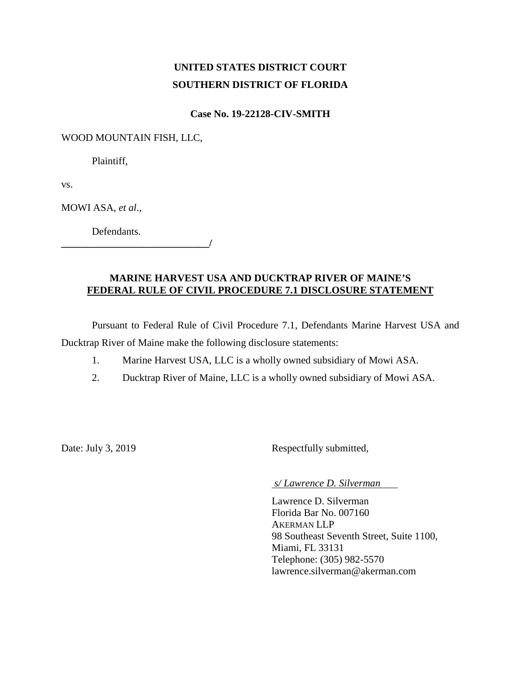# **UNITED STATES DISTRICT COURT SOUTHERN DISTRICT OF FLORIDA**

# **Case No. 19-22128-CIV-SMITH**

### WOOD MOUNTAIN FISH, LLC,

Plaintiff,

vs.

MOWI ASA, *et al*.,

Defendants.

### **MARINE HARVEST USA AND DUCKTRAP RIVER OF MAINE'S FEDERAL RULE OF CIVIL PROCEDURE 7.1 DISCLOSURE STATEMENT**

 $\overline{\phantom{a}}$ 

Pursuant to Federal Rule of Civil Procedure 7.1, Defendants Marine Harvest USA and Ducktrap River of Maine make the following disclosure statements:

- 1. Marine Harvest USA, LLC is a wholly owned subsidiary of Mowi ASA.
- 2. Ducktrap River of Maine, LLC is a wholly owned subsidiary of Mowi ASA.

Date: July 3, 2019 Respectfully submitted,

*s/ Lawrence D. Silverman* 

Lawrence D. Silverman Florida Bar No. 007160 AKERMAN LLP 98 Southeast Seventh Street, Suite 1100, Miami, FL 33131 Telephone: (305) 982-5570 lawrence.silverman@akerman.com